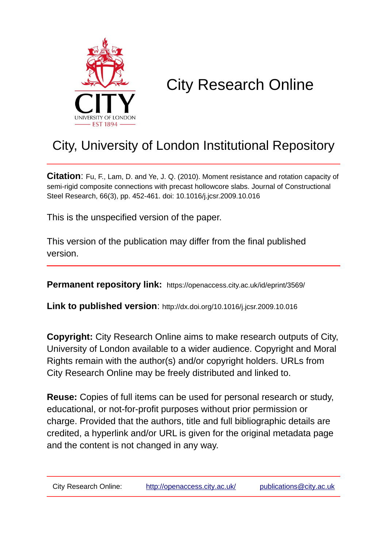

# City Research Online

## City, University of London Institutional Repository

**Citation**: Fu, F., Lam, D. and Ye, J. Q. (2010). Moment resistance and rotation capacity of semi-rigid composite connections with precast hollowcore slabs. Journal of Constructional Steel Research, 66(3), pp. 452-461. doi: 10.1016/j.jcsr.2009.10.016

This is the unspecified version of the paper.

This version of the publication may differ from the final published version.

**Permanent repository link:** https://openaccess.city.ac.uk/id/eprint/3569/

**Link to published version**: http://dx.doi.org/10.1016/j.jcsr.2009.10.016

**Copyright:** City Research Online aims to make research outputs of City, University of London available to a wider audience. Copyright and Moral Rights remain with the author(s) and/or copyright holders. URLs from City Research Online may be freely distributed and linked to.

**Reuse:** Copies of full items can be used for personal research or study, educational, or not-for-profit purposes without prior permission or charge. Provided that the authors, title and full bibliographic details are credited, a hyperlink and/or URL is given for the original metadata page and the content is not changed in any way.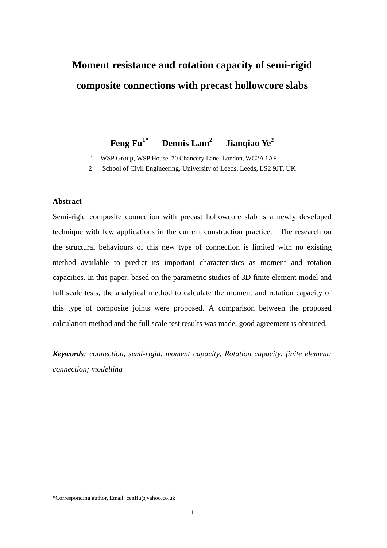## **Moment resistance and rotation capacity of semi-rigid composite connections with precast hollowcore slabs**

#### **Feng Fu1\* Dennis Lam<sup>2</sup> Jianqiao Ye<sup>2</sup>**

1 WSP Group, WSP House, 70 Chancery Lane, London, WC2A 1AF

2 School of Civil Engineering, University of Leeds, Leeds, LS2 9JT, UK

## **Abstract**

Semi-rigid composite connection with precast hollowcore slab is a newly developed technique with few applications in the current construction practice. The research on the structural behaviours of this new type of connection is limited with no existing method available to predict its important characteristics as moment and rotation capacities. In this paper, based on the parametric studies of 3D finite element model and full scale tests, the analytical method to calculate the moment and rotation capacity of this type of composite joints were proposed. A comparison between the proposed calculation method and the full scale test results was made, good agreement is obtained,

*Keywords: connection, semi-rigid, moment capacity, Rotation capacity, finite element; connection; modelling*

<u>.</u>

<sup>\*</sup>Corresponding author, Email: cenffu@yahoo.co.uk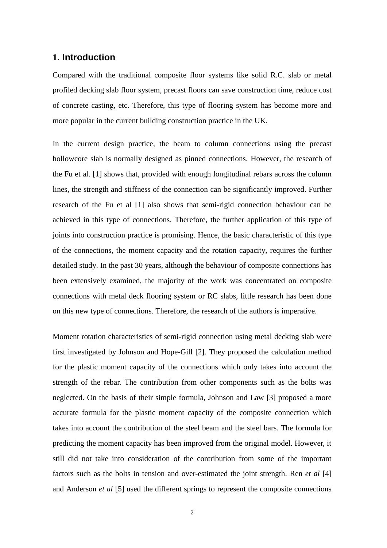## **1. Introduction**

Compared with the traditional composite floor systems like solid R.C. slab or metal profiled decking slab floor system, precast floors can save construction time, reduce cost of concrete casting, etc. Therefore, this type of flooring system has become more and more popular in the current building construction practice in the UK.

In the current design practice, the beam to column connections using the precast hollowcore slab is normally designed as pinned connections. However, the research of the Fu et al. [1] shows that, provided with enough longitudinal rebars across the column lines, the strength and stiffness of the connection can be significantly improved. Further research of the Fu et al [1] also shows that semi-rigid connection behaviour can be achieved in this type of connections. Therefore, the further application of this type of joints into construction practice is promising. Hence, the basic characteristic of this type of the connections, the moment capacity and the rotation capacity, requires the further detailed study. In the past 30 years, although the behaviour of composite connections has been extensively examined, the majority of the work was concentrated on composite connections with metal deck flooring system or RC slabs, little research has been done on this new type of connections. Therefore, the research of the authors is imperative.

Moment rotation characteristics of semi-rigid connection using metal decking slab were first investigated by Johnson and Hope-Gill [2]. They proposed the calculation method for the plastic moment capacity of the connections which only takes into account the strength of the rebar. The contribution from other components such as the bolts was neglected. On the basis of their simple formula, Johnson and Law [3] proposed a more accurate formula for the plastic moment capacity of the composite connection which takes into account the contribution of the steel beam and the steel bars. The formula for predicting the moment capacity has been improved from the original model. However, it still did not take into consideration of the contribution from some of the important factors such as the bolts in tension and over-estimated the joint strength. Ren *et al* [4] and Anderson *et al* [5] used the different springs to represent the composite connections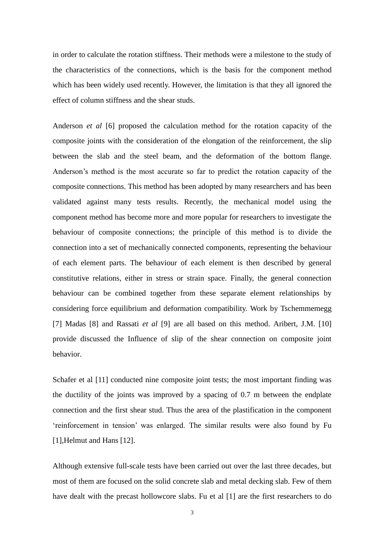in order to calculate the rotation stiffness. Their methods were a milestone to the study of the characteristics of the connections, which is the basis for the component method which has been widely used recently. However, the limitation is that they all ignored the effect of column stiffness and the shear studs.

Anderson *et al* [6] proposed the calculation method for the rotation capacity of the composite joints with the consideration of the elongation of the reinforcement, the slip between the slab and the steel beam, and the deformation of the bottom flange. Anderson's method is the most accurate so far to predict the rotation capacity of the composite connections. This method has been adopted by many researchers and has been validated against many tests results. Recently, the mechanical model using the component method has become more and more popular for researchers to investigate the behaviour of composite connections; the principle of this method is to divide the connection into a set of mechanically connected components, representing the behaviour of each element parts. The behaviour of each element is then described by general constitutive relations, either in stress or strain space. Finally, the general connection behaviour can be combined together from these separate element relationships by considering force equilibrium and deformation compatibility. Work by Tschemmemegg [7] Madas [8] and Rassati *et al* [9] are all based on this method. Aribert, J.M. [10] provide discussed the Influence of slip of the shear connection on composite joint behavior.

Schafer et al [11] conducted nine composite joint tests; the most important finding was the ductility of the joints was improved by a spacing of 0.7 m between the endplate connection and the first shear stud. Thus the area of the plastification in the component 'reinforcement in tension' was enlarged. The similar results were also found by Fu [1], Helmut and Hans [12].

Although extensive full-scale tests have been carried out over the last three decades, but most of them are focused on the solid concrete slab and metal decking slab. Few of them have dealt with the precast hollowcore slabs. Fu et al [1] are the first researchers to do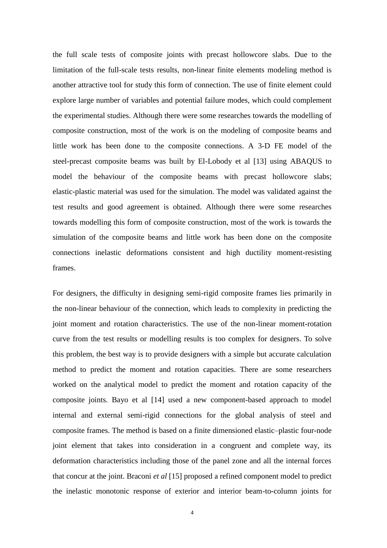the full scale tests of composite joints with precast hollowcore slabs. Due to the limitation of the full-scale tests results, non-linear finite elements modeling method is another attractive tool for study this form of connection. The use of finite element could explore large number of variables and potential failure modes, which could complement the experimental studies. Although there were some researches towards the modelling of composite construction, most of the work is on the modeling of composite beams and little work has been done to the composite connections. A 3-D FE model of the steel-precast composite beams was built by El-Lobody et al [13] using ABAQUS to model the behaviour of the composite beams with precast hollowcore slabs; elastic-plastic material was used for the simulation. The model was validated against the test results and good agreement is obtained. Although there were some researches towards modelling this form of composite construction, most of the work is towards the simulation of the composite beams and little work has been done on the composite connections inelastic deformations consistent and high ductility moment-resisting frames.

For designers, the difficulty in designing semi-rigid composite frames lies primarily in the non-linear behaviour of the connection, which leads to complexity in predicting the joint moment and rotation characteristics. The use of the non-linear moment-rotation curve from the test results or modelling results is too complex for designers. To solve this problem, the best way is to provide designers with a simple but accurate calculation method to predict the moment and rotation capacities. There are some researchers worked on the analytical model to predict the moment and rotation capacity of the composite joints. Bayo et al [14] used a new component-based approach to model internal and external semi-rigid connections for the global analysis of steel and composite frames. The method is based on a finite dimensioned elastic–plastic four-node joint element that takes into consideration in a congruent and complete way, its deformation characteristics including those of the panel zone and all the internal forces that concur at the joint. Braconi *et al* [15] proposed a refined component model to predict the inelastic monotonic response of exterior and interior beam-to-column joints for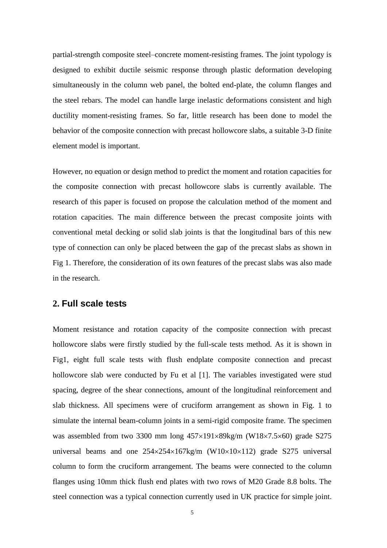partial-strength composite steel–concrete moment-resisting frames. The joint typology is designed to exhibit ductile seismic response through plastic deformation developing simultaneously in the column web panel, the bolted end-plate, the column flanges and the steel rebars. The model can handle large inelastic deformations consistent and high ductility moment-resisting frames. So far, little research has been done to model the behavior of the composite connection with precast hollowcore slabs, a suitable 3-D finite element model is important.

However, no equation or design method to predict the moment and rotation capacities for the composite connection with precast hollowcore slabs is currently available. The research of this paper is focused on propose the calculation method of the moment and rotation capacities. The main difference between the precast composite joints with conventional metal decking or solid slab joints is that the longitudinal bars of this new type of connection can only be placed between the gap of the precast slabs as shown in Fig 1. Therefore, the consideration of its own features of the precast slabs was also made in the research.

## **2. Full scale tests**

Moment resistance and rotation capacity of the composite connection with precast hollowcore slabs were firstly studied by the full-scale tests method. As it is shown in Fig1, eight full scale tests with flush endplate composite connection and precast hollowcore slab were conducted by Fu et al [1]. The variables investigated were stud spacing, degree of the shear connections, amount of the longitudinal reinforcement and slab thickness. All specimens were of cruciform arrangement as shown in Fig. 1 to simulate the internal beam-column joints in a semi-rigid composite frame. The specimen was assembled from two 3300 mm long  $457\times191\times89$ kg/m (W18 $\times$ 7.5 $\times$ 60) grade S275 universal beams and one  $254 \times 254 \times 167$  kg/m (W10 $\times$ 10 $\times$ 112) grade S275 universal column to form the cruciform arrangement. The beams were connected to the column flanges using 10mm thick flush end plates with two rows of M20 Grade 8.8 bolts. The steel connection was a typical connection currently used in UK practice for simple joint.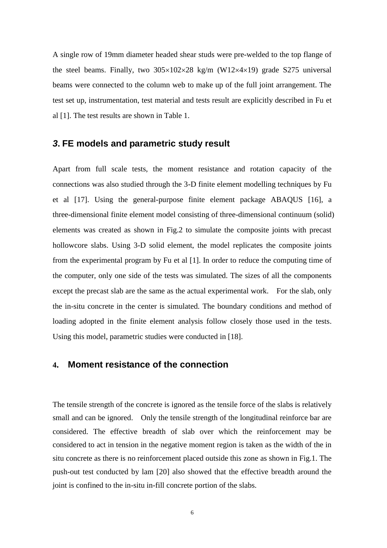A single row of 19mm diameter headed shear studs were pre-welded to the top flange of the steel beams. Finally, two  $305\times102\times28$  kg/m (W12 $\times$ 4 $\times$ 19) grade S275 universal beams were connected to the column web to make up of the full joint arrangement. The test set up, instrumentation, test material and tests result are explicitly described in Fu et al [1]. The test results are shown in Table 1.

## *3***. FE models and parametric study result**

Apart from full scale tests, the moment resistance and rotation capacity of the connections was also studied through the 3-D finite element modelling techniques by Fu et al [17]. Using the general-purpose finite element package ABAQUS [16], a three-dimensional finite element model consisting of three-dimensional continuum (solid) elements was created as shown in Fig.2 to simulate the composite joints with precast hollowcore slabs. Using 3-D solid element, the model replicates the composite joints from the experimental program by Fu et al [1]. In order to reduce the computing time of the computer, only one side of the tests was simulated. The sizes of all the components except the precast slab are the same as the actual experimental work. For the slab, only the in-situ concrete in the center is simulated. The boundary conditions and method of loading adopted in the finite element analysis follow closely those used in the tests. Using this model, parametric studies were conducted in [18].

## **4. Moment resistance of the connection**

The tensile strength of the concrete is ignored as the tensile force of the slabs is relatively small and can be ignored. Only the tensile strength of the longitudinal reinforce bar are considered. The effective breadth of slab over which the reinforcement may be considered to act in tension in the negative moment region is taken as the width of the in situ concrete as there is no reinforcement placed outside this zone as shown in Fig.1. The push-out test conducted by lam [20] also showed that the effective breadth around the joint is confined to the in-situ in-fill concrete portion of the slabs.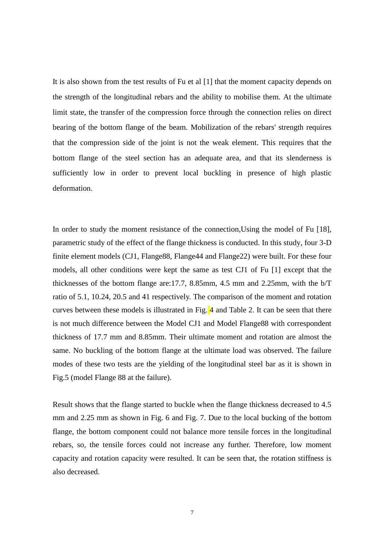It is also shown from the test results of Fu et al [1] that the moment capacity depends on the strength of the longitudinal rebars and the ability to mobilise them. At the ultimate limit state, the transfer of the compression force through the connection relies on direct bearing of the bottom flange of the beam. Mobilization of the rebars' strength requires that the compression side of the joint is not the weak element. This requires that the bottom flange of the steel section has an adequate area, and that its slenderness is sufficiently low in order to prevent local buckling in presence of high plastic deformation.

In order to study the moment resistance of the connection,Using the model of Fu [18], parametric study of the effect of the flange thickness is conducted. In this study, four 3-D finite element models (CJ1, Flange88, Flange44 and Flange22) were built. For these four models, all other conditions were kept the same as test CJ1 of Fu [1] except that the thicknesses of the bottom flange are:17.7, 8.85mm, 4.5 mm and 2.25mm, with the b/T ratio of 5.1, 10.24, 20.5 and 41 respectively. The comparison of the moment and rotation curves between these models is illustrated in Fig. 4 and Table 2. It can be seen that there is not much difference between the Model CJ1 and Model Flange88 with correspondent thickness of 17.7 mm and 8.85mm. Their ultimate moment and rotation are almost the same. No buckling of the bottom flange at the ultimate load was observed. The failure modes of these two tests are the yielding of the longitudinal steel bar as it is shown in Fig.5 (model Flange 88 at the failure).

Result shows that the flange started to buckle when the flange thickness decreased to 4.5 mm and 2.25 mm as shown in Fig. 6 and Fig. 7. Due to the local bucking of the bottom flange, the bottom component could not balance more tensile forces in the longitudinal rebars, so, the tensile forces could not increase any further. Therefore, low moment capacity and rotation capacity were resulted. It can be seen that, the rotation stiffness is also decreased.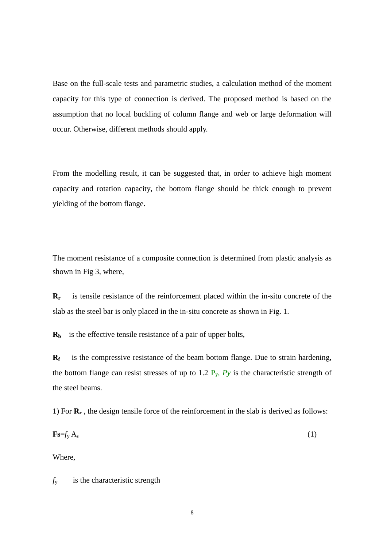Base on the full-scale tests and parametric studies, a calculation method of the moment capacity for this type of connection is derived. The proposed method is based on the assumption that no local buckling of column flange and web or large deformation will occur. Otherwise, different methods should apply.

From the modelling result, it can be suggested that, in order to achieve high moment capacity and rotation capacity, the bottom flange should be thick enough to prevent yielding of the bottom flange.

The moment resistance of a composite connection is determined from plastic analysis as shown in Fig 3, where,

**Rr** is tensile resistance of the reinforcement placed within the in-situ concrete of the slab as the steel bar is only placed in the in-situ concrete as shown in Fig. 1.

**Rb** is the effective tensile resistance of a pair of upper bolts,

**Rf** is the compressive resistance of the beam bottom flange. Due to strain hardening, the bottom flange can resist stresses of up to 1.2  $P_y$ ,  $P_y$  is the characteristic strength of the steel beams.

1) For **R<sup>r</sup>** , the design tensile force of the reinforcement in the slab is derived as follows:

$$
\mathbf{Fs} = f_{\mathbf{y}} \mathbf{A}_{\mathbf{s}} \tag{1}
$$

Where,

*f*y is the characteristic strength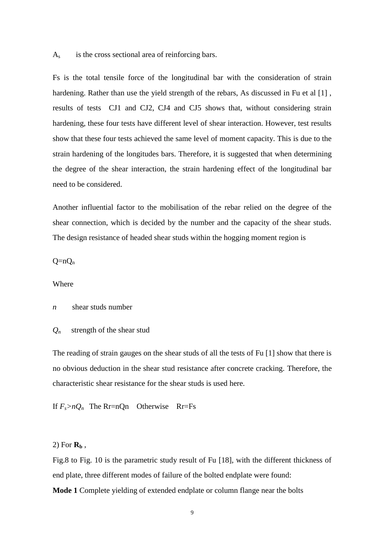$A<sub>s</sub>$  is the cross sectional area of reinforcing bars.

Fs is the total tensile force of the longitudinal bar with the consideration of strain hardening. Rather than use the yield strength of the rebars, As discussed in Fu et al [1], results of tests CJ1 and CJ2, CJ4 and CJ5 shows that, without considering strain hardening, these four tests have different level of shear interaction. However, test results show that these four tests achieved the same level of moment capacity. This is due to the strain hardening of the longitudes bars. Therefore, it is suggested that when determining the degree of the shear interaction, the strain hardening effect of the longitudinal bar need to be considered.

Another influential factor to the mobilisation of the rebar relied on the degree of the shear connection, which is decided by the number and the capacity of the shear studs. The design resistance of headed shear studs within the hogging moment region is

 $O = nO_n$ 

#### Where

*n* shear studs number

 $Q_n$  strength of the shear stud

The reading of strain gauges on the shear studs of all the tests of Fu [1] show that there is no obvious deduction in the shear stud resistance after concrete cracking. Therefore, the characteristic shear resistance for the shear studs is used here.

If  $F_s > nQ_n$  The Rr=nQn Otherwise Rr=Fs

## 2) For  $\mathbf{R}_b$ ,

Fig.8 to Fig. 10 is the parametric study result of Fu [18], with the different thickness of end plate, three different modes of failure of the bolted endplate were found: **Mode 1** Complete yielding of extended endplate or column flange near the bolts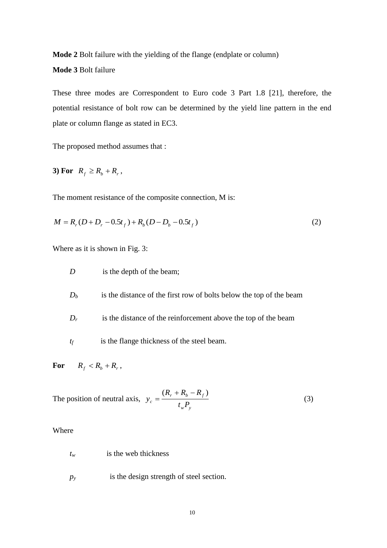**Mode 2** Bolt failure with the yielding of the flange (endplate or column)

**Mode 3** Bolt failure

These three modes are Correspondent to Euro code 3 Part 1.8 [21], therefore, the potential resistance of bolt row can be determined by the yield line pattern in the end plate or column flange as stated in EC3.

The proposed method assumes that :

3) For 
$$
R_f \ge R_b + R_r
$$
,

The moment resistance of the composite connection, M is:

$$
M = Rr (D + Dr - 0.5tf) + Rb (D - Db - 0.5tf)
$$
\n(2)

Where as it is shown in Fig. 3:

- *D* is the depth of the beam;
- $D_b$  is the distance of the first row of bolts below the top of the beam
- $D_r$  is the distance of the reinforcement above the top of the beam
- *tf* is the flange thickness of the steel beam.

For  $R_f < R_b + R_r$ ,

The position of neutral axis, *w y*  $r + h_b - h_f$  $c = t_w P$  $R_{r} + R_{h} - R$ *y*  $(R_r + R_b - R_f)$  $=\frac{(x_1 + x_2 + x_3 + x_4)}{x_1}$  (3)

### Where

- *tw* is the web thickness
- *py* is the design strength of steel section.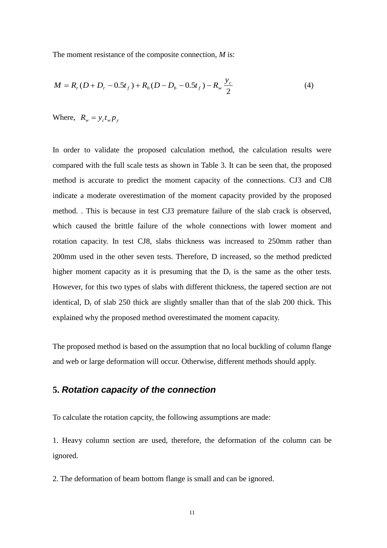The moment resistance of the composite connection, *M* is:

$$
M = R_r(D + D_r - 0.5t_f) + R_b(D - D_b - 0.5t_f) - R_w \frac{y_c}{2}
$$
 (4)

Where,  $R_w = y_c t_w p_y$ 

In order to validate the proposed calculation method, the calculation results were compared with the full scale tests as shown in Table 3. It can be seen that, the proposed method is accurate to predict the moment capacity of the connections. CJ3 and CJ8 indicate a moderate overestimation of the moment capacity provided by the proposed method. . This is because in test CJ3 premature failure of the slab crack is observed, which caused the brittle failure of the whole connections with lower moment and rotation capacity. In test CJ8, slabs thickness was increased to 250mm rather than 200mm used in the other seven tests. Therefore, D increased, so the method predicted higher moment capacity as it is presuming that the  $D<sub>r</sub>$  is the same as the other tests. However, for this two types of slabs with different thickness, the tapered section are not identical,  $D_r$  of slab 250 thick are slightly smaller than that of the slab 200 thick. This explained why the proposed method overestimated the moment capacity.

The proposed method is based on the assumption that no local buckling of column flange and web or large deformation will occur. Otherwise, different methods should apply.

## **5.** *Rotation capacity of the connection*

To calculate the rotation capcity, the following assumptions are made:

1. Heavy column section are used, therefore, the deformation of the column can be ignored.

2. The deformation of beam bottom flange is small and can be ignored.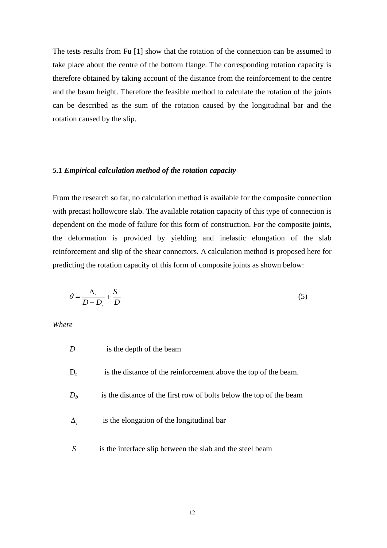The tests results from Fu [1] show that the rotation of the connection can be assumed to take place about the centre of the bottom flange. The corresponding rotation capacity is therefore obtained by taking account of the distance from the reinforcement to the centre and the beam height. Therefore the feasible method to calculate the rotation of the joints can be described as the sum of the rotation caused by the longitudinal bar and the rotation caused by the slip.

### *5.1 Empirical calculation method of the rotation capacity*

From the research so far, no calculation method is available for the composite connection with precast hollowcore slab. The available rotation capacity of this type of connection is dependent on the mode of failure for this form of construction. For the composite joints, the deformation is provided by yielding and inelastic elongation of the slab reinforcement and slip of the shear connectors. A calculation method is proposed here for predicting the rotation capacity of this form of composite joints as shown below:

$$
\theta = \frac{\Delta_r}{D + D_r} + \frac{S}{D} \tag{5}
$$

*Where*

|            | is the depth of the beam                                            |
|------------|---------------------------------------------------------------------|
| $D_r$      | is the distance of the reinforcement above the top of the beam.     |
| $D_h$      | is the distance of the first row of bolts below the top of the beam |
| $\Delta_r$ | is the elongation of the longitudinal bar                           |
| S          | is the interface slip between the slab and the steel beam           |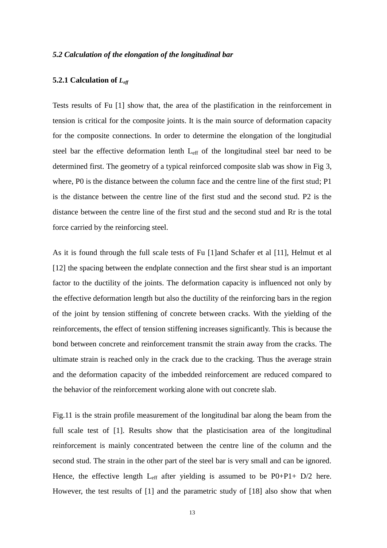### *5.2 Calculation of the elongation of the longitudinal bar*

### **5.2.1 Calculation of** *Leff*

Tests results of Fu [1] show that, the area of the plastification in the reinforcement in tension is critical for the composite joints. It is the main source of deformation capacity for the composite connections. In order to determine the elongation of the longitudial steel bar the effective deformation lenth Leff of the longitudinal steel bar need to be determined first. The geometry of a typical reinforced composite slab was show in Fig 3, where, P0 is the distance between the column face and the centre line of the first stud; P1 is the distance between the centre line of the first stud and the second stud. P2 is the distance between the centre line of the first stud and the second stud and Rr is the total force carried by the reinforcing steel.

As it is found through the full scale tests of Fu [1]and Schafer et al [11], Helmut et al [12] the spacing between the endplate connection and the first shear stud is an important factor to the ductility of the joints. The deformation capacity is influenced not only by the effective deformation length but also the ductility of the reinforcing bars in the region of the joint by tension stiffening of concrete between cracks. With the yielding of the reinforcements, the effect of tension stiffening increases significantly. This is because the bond between concrete and reinforcement transmit the strain away from the cracks. The ultimate strain is reached only in the crack due to the cracking. Thus the average strain and the deformation capacity of the imbedded reinforcement are reduced compared to the behavior of the reinforcement working alone with out concrete slab.

Fig.11 is the strain profile measurement of the longitudinal bar along the beam from the full scale test of [1]. Results show that the plasticisation area of the longitudinal reinforcement is mainly concentrated between the centre line of the column and the second stud. The strain in the other part of the steel bar is very small and can be ignored. Hence, the effective length  $L_{eff}$  after yielding is assumed to be P0+P1+ D/2 here. However, the test results of [1] and the parametric study of [18] also show that when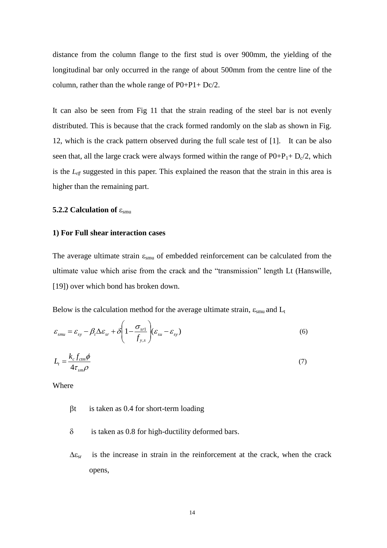distance from the column flange to the first stud is over 900mm, the yielding of the longitudinal bar only occurred in the range of about 500mm from the centre line of the column, rather than the whole range of P0+P1+ Dc/2.

It can also be seen from Fig 11 that the strain reading of the steel bar is not evenly distributed. This is because that the crack formed randomly on the slab as shown in Fig. 12, which is the crack pattern observed during the full scale test of [1]. It can be also seen that, all the large crack were always formed within the range of  $P0+P_1+D_c/2$ , which is the *Leff* suggested in this paper. This explained the reason that the strain in this area is higher than the remaining part.

## **5.2.2 Calculation of**  $\varepsilon_{\text{smu}}$

### **1) For Full shear interaction cases**

The average ultimate strain  $\varepsilon_{\text{smu}}$  of embedded reinforcement can be calculated from the ultimate value which arise from the crack and the "transmission" length Lt (Hanswille, [19]) over which bond has broken down.

Below is the calculation method for the average ultimate strain,  $\varepsilon_{\rm smu}$  and  $L_t$ 

$$
\varepsilon_{smu} = \varepsilon_{sy} - \beta_t \Delta \varepsilon_{sr} + \delta \left( 1 - \frac{\sigma_{sr1}}{f_{y,s}} \right) (\varepsilon_{su} - \varepsilon_{sy})
$$
\n
$$
L_t = \frac{k_c f_{cm} \phi}{4\tau_{sm}\rho}
$$
\n(7)

Where

- $\beta t$  is taken as 0.4 for short-term loading
- $\delta$  is taken as 0.8 for high-ductility deformed bars.
- $\Delta \varepsilon_{sr}$  is the increase in strain in the reinforcement at the crack, when the crack opens,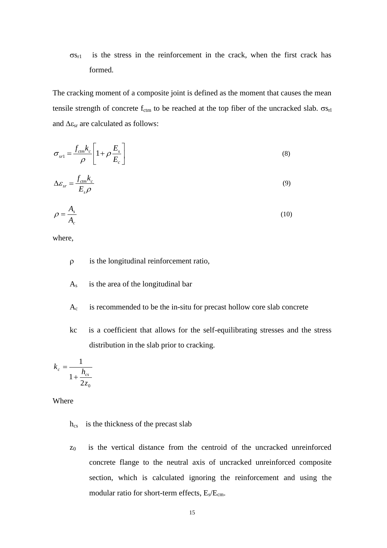$\sigma_{S_{r1}}$  is the stress in the reinforcement in the crack, when the first crack has formed.

The cracking moment of a composite joint is defined as the moment that causes the mean tensile strength of concrete  $f_{\text{ctm}}$  to be reached at the top fiber of the uncracked slab.  $\sigma s_{\text{rl}}$ and  $\Delta \varepsilon_{sr}$  are calculated as follows:

$$
\sigma_{sr1} = \frac{f_{ctm}k_c}{\rho} \left[ 1 + \rho \frac{E_s}{E_c} \right]
$$
\n(8)

$$
\Delta \varepsilon_{sr} = \frac{f_{cm} k_c}{E_s \rho} \tag{9}
$$

$$
\rho = \frac{A_s}{A_c} \tag{10}
$$

where,

- $\rho$  is the longitudinal reinforcement ratio,
- $A_s$  is the area of the longitudinal bar
- $A_c$  is recommended to be the in-situ for precast hollow core slab concrete
- kc is a coefficient that allows for the self-equilibrating stresses and the stress distribution in the slab prior to cracking.

$$
k_c = \frac{1}{1 + \frac{h_{cs}}{2z_0}}
$$

Where

- $h_{cs}$  is the thickness of the precast slab
- $z_0$  is the vertical distance from the centroid of the uncracked unreinforced concrete flange to the neutral axis of uncracked unreinforced composite section, which is calculated ignoring the reinforcement and using the modular ratio for short-term effects,  $E_s/E_{cm}$ .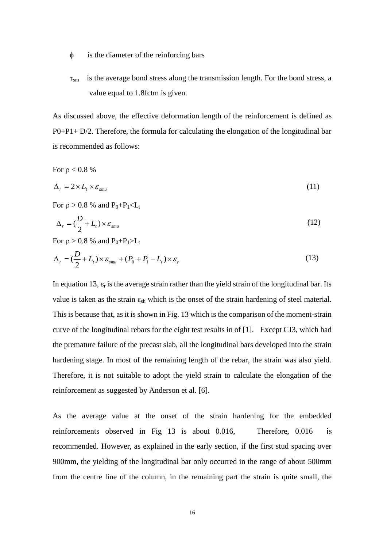- is the diameter of the reinforcing bars
- $\tau_{\rm sm}$  is the average bond stress along the transmission length. For the bond stress, a value equal to 1.8fctm is given.

As discussed above, the effective deformation length of the reinforcement is defined as P0+P1+ D/2. Therefore, the formula for calculating the elongation of the longitudinal bar is recommended as follows:

For  $\rho < 0.8 \%$ 

$$
\Delta_r = 2 \times L_t \times \varepsilon_{\textit{smu}} \tag{11}
$$

For  $\rho > 0.8$  % and  $P_0 + P_1 < L_t$ 

$$
\Delta_r = \left(\frac{D}{2} + L_t\right) \times \varepsilon_{\textit{smu}}
$$
\n<sup>(12)</sup>

For  $\rho > 0.8$  % and  $P_0 + P_1 > L_t$ 

$$
\Delta_r = \left(\frac{D}{2} + L_t\right) \times \varepsilon_{\textit{smu}} + \left(P_0 + P_1 - L_t\right) \times \varepsilon_r \tag{13}
$$

In equation 13,  $\varepsilon_r$  is the average strain rather than the yield strain of the longitudinal bar. Its value is taken as the strain  $\varepsilon_{sh}$  which is the onset of the strain hardening of steel material. This is because that, as it is shown in Fig. 13 which is the comparison of the moment-strain curve of the longitudinal rebars for the eight test results in of [1]. Except CJ3, which had the premature failure of the precast slab, all the longitudinal bars developed into the strain hardening stage. In most of the remaining length of the rebar, the strain was also yield. Therefore, it is not suitable to adopt the yield strain to calculate the elongation of the reinforcement as suggested by Anderson et al. [6].

As the average value at the onset of the strain hardening for the embedded reinforcements observed in Fig 13 is about 0.016, Therefore, 0.016  $is$ recommended. However, as explained in the early section, if the first stud spacing over 900mm, the yielding of the longitudinal bar only occurred in the range of about 500mm from the centre line of the column, in the remaining part the strain is quite small, the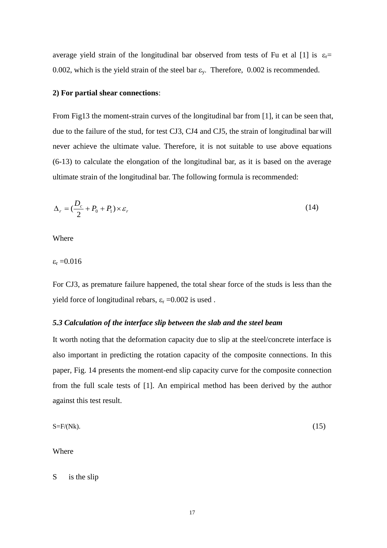average yield strain of the longitudinal bar observed from tests of Fu et al [1] is  $\varepsilon_r=$ 0.002, which is the yield strain of the steel bar  $\varepsilon_v$ . Therefore, 0.002 is recommended.

## **2) For partial shear connections**:

From Fig13 the moment-strain curves of the longitudinal bar from [1], it can be seen that, due to the failure of the stud, for test CJ3, CJ4 and CJ5, the strain of longitudinal bar will never achieve the ultimate value. Therefore, it is not suitable to use above equations (6-13) to calculate the elongation of the longitudinal bar, as it is based on the average ultimate strain of the longitudinal bar. The following formula is recommended:

$$
\Delta_r = \left(\frac{D_c}{2} + P_0 + P_1\right) \times \varepsilon_r \tag{14}
$$

Where

 $\varepsilon_r = 0.016$ 

For CJ3, as premature failure happened, the total shear force of the studs is less than the yield force of longitudinal rebars,  $\varepsilon$ <sub>r</sub> =0.002 is used.

### *5.3 Calculation of the interface slip between the slab and the steel beam*

It worth noting that the deformation capacity due to slip at the steel/concrete interface is also important in predicting the rotation capacity of the composite connections. In this paper, Fig. 14 presents the moment-end slip capacity curve for the composite connection from the full scale tests of [1]. An empirical method has been derived by the author against this test result.

$$
S = F/(Nk). \tag{15}
$$

Where

S is the slip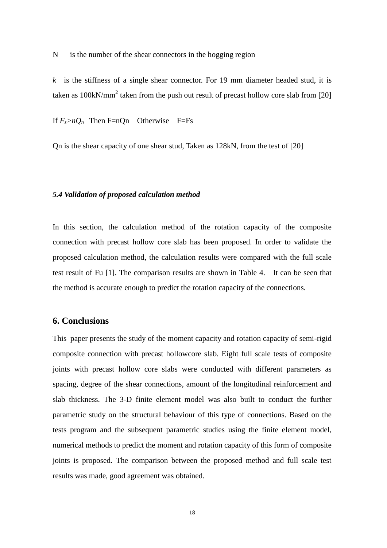N is the number of the shear connectors in the hogging region

*k* is the stiffness of a single shear connector. For 19 mm diameter headed stud, it is taken as 100kN/mm<sup>2</sup> taken from the push out result of precast hollow core slab from [20]

If  $F_s > nQ_n$  Then F=nQn Otherwise F=Fs

Qn is the shear capacity of one shear stud, Taken as 128kN, from the test of [20]

### *5.4 Validation of proposed calculation method*

In this section, the calculation method of the rotation capacity of the composite connection with precast hollow core slab has been proposed. In order to validate the proposed calculation method, the calculation results were compared with the full scale test result of Fu [1]. The comparison results are shown in Table 4. It can be seen that the method is accurate enough to predict the rotation capacity of the connections.

## **6. Conclusions**

This paper presents the study of the moment capacity and rotation capacity of semi-rigid composite connection with precast hollowcore slab. Eight full scale tests of composite joints with precast hollow core slabs were conducted with different parameters as spacing, degree of the shear connections, amount of the longitudinal reinforcement and slab thickness. The 3-D finite element model was also built to conduct the further parametric study on the structural behaviour of this type of connections. Based on the tests program and the subsequent parametric studies using the finite element model, numerical methods to predict the moment and rotation capacity of this form of composite joints is proposed. The comparison between the proposed method and full scale test results was made, good agreement was obtained.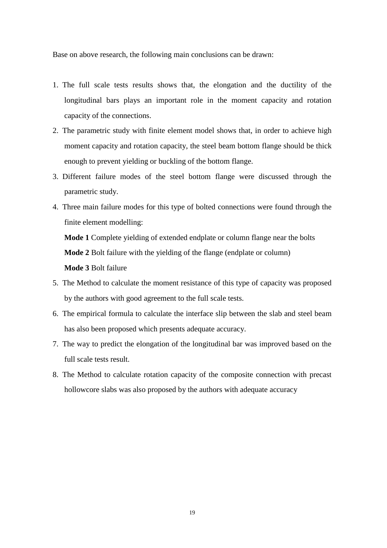Base on above research, the following main conclusions can be drawn:

- 1. The full scale tests results shows that, the elongation and the ductility of the longitudinal bars plays an important role in the moment capacity and rotation capacity of the connections.
- 2. The parametric study with finite element model shows that, in order to achieve high moment capacity and rotation capacity, the steel beam bottom flange should be thick enough to prevent yielding or buckling of the bottom flange.
- 3. Different failure modes of the steel bottom flange were discussed through the parametric study.
- 4. Three main failure modes for this type of bolted connections were found through the finite element modelling:

**Mode 1** Complete yielding of extended endplate or column flange near the bolts

 **Mode 2** Bolt failure with the yielding of the flange (endplate or column)

 **Mode 3** Bolt failure

- 5. The Method to calculate the moment resistance of this type of capacity was proposed by the authors with good agreement to the full scale tests.
- 6. The empirical formula to calculate the interface slip between the slab and steel beam has also been proposed which presents adequate accuracy.
- 7. The way to predict the elongation of the longitudinal bar was improved based on the full scale tests result.
- 8. The Method to calculate rotation capacity of the composite connection with precast hollowcore slabs was also proposed by the authors with adequate accuracy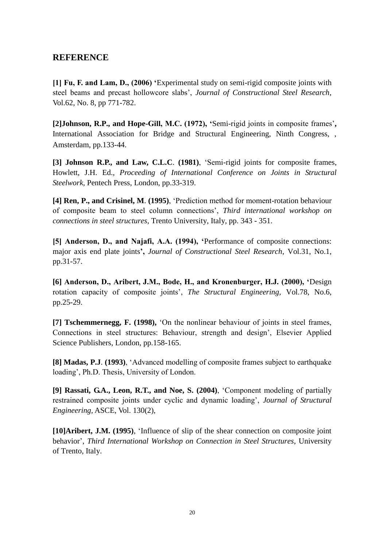## **REFERENCE**

**[1] Fu, F. and Lam, D., (2006) '**Experimental study on semi-rigid composite joints with steel beams and precast hollowcore slabs', *Journal of Constructional Steel Research*, Vol.62, No. 8, pp 771-782.

**[2]Johnson, R.P., and Hope-Gill, M.C. (1972), '**Semi-rigid joints in composite frames'**,**  International Association for Bridge and Structural Engineering, Ninth Congress, , Amsterdam, pp.133-44.

**[3] Johnson R.P., and Law, C.L.C**. **(1981)**, 'Semi-rigid joints for composite frames, Howlett, J.H. Ed., *Proceeding of International Conference on Joints in Structural Steelwork,* Pentech Press, London, pp.33-319.

**[4] Ren, P., and Crisinel, M**. **(1995)**, 'Prediction method for moment-rotation behaviour of composite beam to steel column connections', *Third international workshop on connections in steel structures*, Trento University, Italy, pp. 343 - 351.

**[5] Anderson, D., and Najafi, A.A. (1994), '**Performance of composite connections: major axis end plate joints**',** *Journal of Constructional Steel Research*, Vol.31, No.1, pp.31-57.

**[6] Anderson, D., Aribert, J.M., Bode, H., and Kronenburger, H.J. (2000), '**Design rotation capacity of composite joints', *The Structural Engineering,* Vol.78, No.6, pp.25-29.

**[7] Tschemmernegg, F. (1998),** 'On the nonlinear behaviour of joints in steel frames, Connections in steel structures: Behaviour, strength and design', Elsevier Applied Science Publishers, London, pp.158-165.

**[8] Madas, P.J**. **(1993)**, 'Advanced modelling of composite frames subject to earthquake loading', Ph.D. Thesis, University of London.

**[9] Rassati, G.A., Leon, R.T., and Noe, S. (2004)**, 'Component modeling of partially restrained composite joints under cyclic and dynamic loading', *Journal of Structural Engineering,* ASCE, Vol. 130(2),

**[10]Aribert, J.M. (1995)**, 'Influence of slip of the shear connection on composite joint behavior', *Third International Workshop on Connection in Steel Structures*, University of Trento, Italy.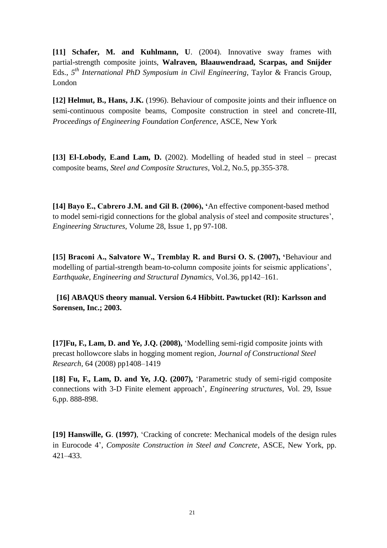**[11] Schafer, M. and Kuhlmann, U**. (2004). Innovative sway frames with partial-strength composite joints, **Walraven, Blaauwendraad, Scarpas, and Snijder**  Eds., *5 th International PhD Symposium in Civil Engineering*, Taylor & Francis Group, London

**[12] Helmut, B., Hans, J.K.** (1996). Behaviour of composite joints and their influence on semi-continuous composite beams, Composite construction in steel and concrete-III, *Proceedings of Engineering Foundation Conference*, ASCE, New York

**[13] El-Lobody, E.and Lam, D.** (2002). Modelling of headed stud in steel – precast composite beams, *Steel and Composite Structures*, Vol.2, No.5, pp.355-378.

**[14] Bayo E., Cabrero J.M. and Gil B. (2006), '**An effective component-based method to model semi-rigid connections for the global analysis of steel and composite structures', *[Engineering Structures](http://www.sciencedirect.com/science?_ob=PublicationURL&_cdi=5715&_pubType=J&_auth=y&_acct=C000010021&_version=1&_urlVersion=0&_userid=121749&md5=9dfa59f3370dd6ea3bab5cbde22b75b0)*, [Volume 28, Issue 1,](http://www.sciencedirect.com/science?_ob=PublicationURL&_cdi=5715&_pubType=J&_auth=y&_acct=C000010021&_version=1&_urlVersion=0&_userid=121749&md5=9dfa59f3370dd6ea3bab5cbde22b75b0) pp 97-108.

**[15] Braconi A., Salvatore W., Tremblay R. and Bursi O. S. (2007), '**Behaviour and modelling of partial-strength beam-to-column composite joints for seismic applications', *Earthquake, Engineering and Structural Dynamics,* Vol.36, pp142–161.

**[16] ABAQUS theory manual. Version 6.4 Hibbitt. Pawtucket (RI): Karlsson and Sorensen, Inc.; 2003.**

**[17]Fu, F., Lam, D. and Ye, J.Q. (2008),** 'Modelling semi-rigid composite joints with precast hollowcore slabs in hogging moment region, *Journal of Constructional Steel Research,* 64 (2008) pp1408–1419

**[18] Fu, F., Lam, D. and Ye, J.Q. (2007),** 'Parametric study of semi-rigid composite connections with 3-D Finite element approach', *Engineering structures*, Vol. 29, Issue 6,pp. 888-898.

**[19] Hanswille, G**. **(1997)**, 'Cracking of concrete: Mechanical models of the design rules in Eurocode 4', *Composite Construction in Steel and Concrete*, ASCE, New York, pp. 421–433.